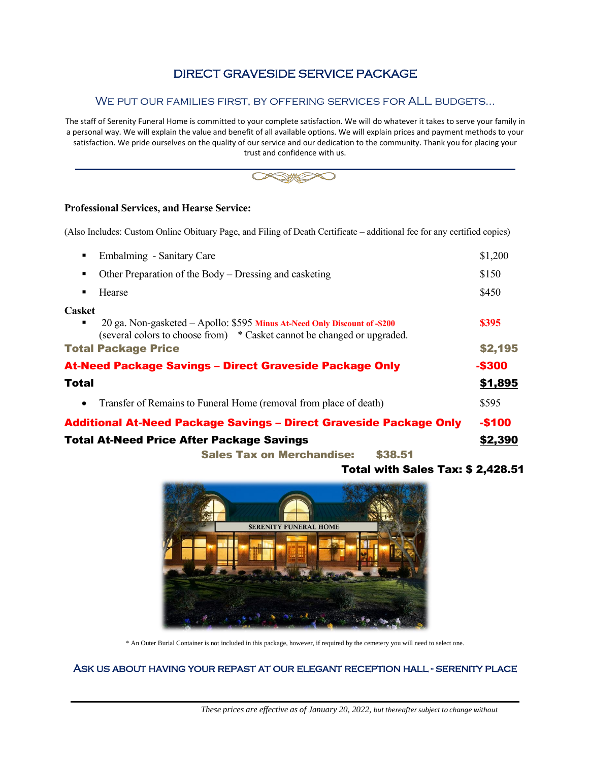## DIRECT GRAVESIDE SERVICE PACKAGE

#### We put our families first, by offering services for ALL budgets…

The staff of Serenity Funeral Home is committed to your complete satisfaction. We will do whatever it takes to serve your family in a personal way. We will explain the value and benefit of all available options. We will explain prices and payment methods to your satisfaction. We pride ourselves on the quality of our service and our dedication to the community. Thank you for placing your trust and confidence with us.



#### **Professional Services, and Hearse Service:**

(Also Includes: Custom Online Obituary Page, and Filing of Death Certificate – additional fee for any certified copies)

| Embalming - Sanitary Care<br>٠                                                                                                                                             | \$1,200 |
|----------------------------------------------------------------------------------------------------------------------------------------------------------------------------|---------|
| Other Preparation of the Body – Dressing and casketing<br>٠                                                                                                                | \$150   |
| Hearse<br>$\blacksquare$                                                                                                                                                   | \$450   |
| <b>Casket</b><br>20 ga. Non-gasketed – Apollo: \$595 Minus At-Need Only Discount of -\$200<br>٠<br>(several colors to choose from) * Casket cannot be changed or upgraded. | \$395   |
| <b>Total Package Price</b>                                                                                                                                                 | \$2,195 |
| <b>At-Need Package Savings - Direct Graveside Package Only</b>                                                                                                             | $-$300$ |
| <b>Total</b>                                                                                                                                                               | \$1,895 |
| Transfer of Remains to Funeral Home (removal from place of death)<br>$\bullet$                                                                                             | \$595   |
| <b>Additional At-Need Package Savings - Direct Graveside Package Only</b>                                                                                                  | $-$100$ |
| <b>Total At-Need Price After Package Savings</b>                                                                                                                           | \$2,390 |
| <b>Sales Tax on Merchandise:</b><br>\$38.51                                                                                                                                |         |

#### Total with Sales Tax: \$ 2,428.51



\* An Outer Burial Container is not included in this package, however, if required by the cemetery you will need to select one.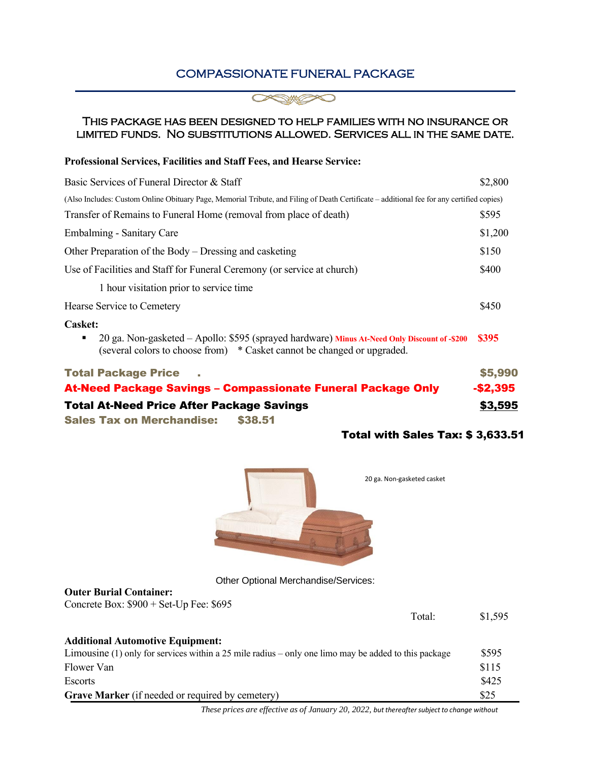## COMPASSIONATE FUNERAL PACKAGE



#### This package has been designed to help families with no insurance or limited funds. No substitutions allowed. Services all in the same date.

#### **Professional Services, Facilities and Staff Fees, and Hearse Service:**

| Basic Services of Funeral Director & Staff                                                                                                                              | \$2,800   |
|-------------------------------------------------------------------------------------------------------------------------------------------------------------------------|-----------|
| (Also Includes: Custom Online Obituary Page, Memorial Tribute, and Filing of Death Certificate – additional fee for any certified copies)                               |           |
| Transfer of Remains to Funeral Home (removal from place of death)                                                                                                       | \$595     |
| Embalming - Sanitary Care                                                                                                                                               | \$1,200   |
| Other Preparation of the Body – Dressing and casketing                                                                                                                  | \$150     |
| Use of Facilities and Staff for Funeral Ceremony (or service at church)                                                                                                 | \$400     |
| 1 hour visitation prior to service time                                                                                                                                 |           |
| Hearse Service to Cemetery                                                                                                                                              | \$450     |
| <b>Casket:</b>                                                                                                                                                          |           |
| 20 ga. Non-gasketed - Apollo: \$595 (sprayed hardware) Minus At-Need Only Discount of -\$200<br>(several colors to choose from) * Casket cannot be changed or upgraded. | \$395     |
| <b>Total Package Price</b>                                                                                                                                              | \$5,990   |
| <b>At-Need Package Savings - Compassionate Funeral Package Only</b>                                                                                                     | $-$2,395$ |
| <b>Total At-Need Price After Package Savings</b>                                                                                                                        | \$3,595   |
| <b>Sales Tax on Merchandise:</b><br>\$38.51                                                                                                                             |           |

## Total with Sales Tax: \$ 3,633.51



Other Optional Merchandise/Services:

#### **Outer Burial Container:**

Concrete Box: \$900 + Set-Up Fee: \$695

| Total:                                                                                               | \$1,595 |
|------------------------------------------------------------------------------------------------------|---------|
| <b>Additional Automotive Equipment:</b>                                                              |         |
| Limousine (1) only for services within a 25 mile radius – only one limo may be added to this package | \$595   |
| Flower Van                                                                                           | \$115   |
| Escorts                                                                                              | \$425   |
| <b>Grave Marker</b> (if needed or required by cemetery)                                              | \$25    |

*These prices are effective as of January 20, 2022, but thereaftersubject to change without*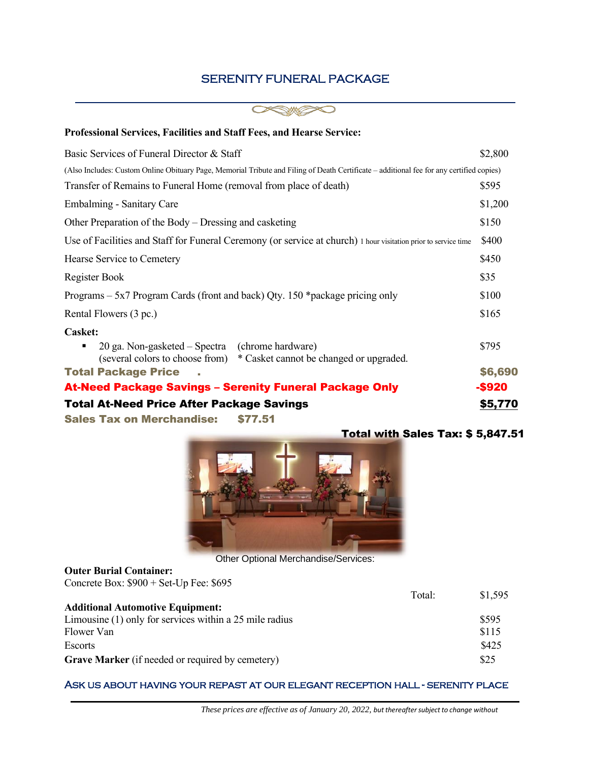## SERENITY FUNERAL PACKAGE



| <b>Professional Services, Facilities and Staff Fees, and Hearse Service:</b>                                                             |         |
|------------------------------------------------------------------------------------------------------------------------------------------|---------|
| Basic Services of Funeral Director & Staff                                                                                               |         |
| (Also Includes: Custom Online Obituary Page, Memorial Tribute and Filing of Death Certificate – additional fee for any certified copies) |         |
| Transfer of Remains to Funeral Home (removal from place of death)                                                                        | \$595   |
| Embalming - Sanitary Care                                                                                                                | \$1,200 |
| Other Preparation of the Body – Dressing and casketing                                                                                   | \$150   |
| Use of Facilities and Staff for Funeral Ceremony (or service at church) 1 hour visitation prior to service time                          | \$400   |
| Hearse Service to Cemetery                                                                                                               | \$450   |
| Register Book                                                                                                                            | \$35    |
| Programs – 5x7 Program Cards (front and back) Qty. 150 *package pricing only                                                             | \$100   |
| Rental Flowers (3 pc.)                                                                                                                   | \$165   |
| Casket:                                                                                                                                  |         |
| 20 ga. Non-gasketed – Spectra (chrome hardware)<br>(several colors to choose from) * Casket cannot be changed or upgraded.               | \$795   |
| <b>Total Package Price</b>                                                                                                               | \$6,690 |
| <b>At-Need Package Savings - Serenity Funeral Package Only</b>                                                                           | -\$920  |
| <b>Total At-Need Price After Package Savings</b>                                                                                         | \$5,770 |
| Cales Text on Mensions disco                                                                                                             |         |

Sales Tax on Merchandise: \$77.51



Other Optional Merchandise/Services:

### **Outer Burial Container:**  Concrete Box: \$900 + Set-Up Fee: \$695

|                                                         | Total: | \$1,595 |
|---------------------------------------------------------|--------|---------|
| <b>Additional Automotive Equipment:</b>                 |        |         |
| Limousine (1) only for services within a 25 mile radius |        | \$595   |
| Flower Van                                              |        | \$115   |
| Escorts                                                 |        | \$425   |
| Grave Marker (if needed or required by cemetery)        |        | \$25    |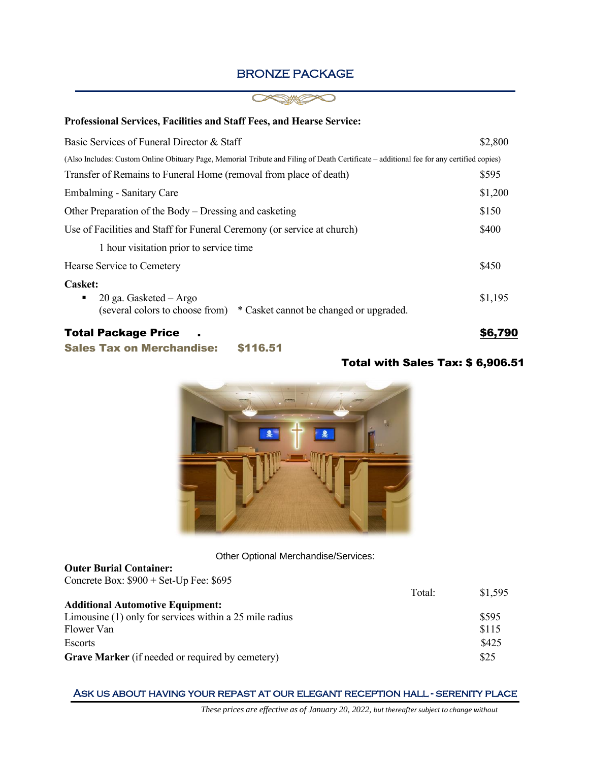## BRONZE PACKAGE



#### **Professional Services, Facilities and Staff Fees, and Hearse Service:**

| Basic Services of Funeral Director & Staff                                                                                               |         |
|------------------------------------------------------------------------------------------------------------------------------------------|---------|
| (Also Includes: Custom Online Obituary Page, Memorial Tribute and Filing of Death Certificate – additional fee for any certified copies) |         |
| Transfer of Remains to Funeral Home (removal from place of death)                                                                        | \$595   |
| Embalming - Sanitary Care                                                                                                                | \$1,200 |
| Other Preparation of the Body – Dressing and casketing                                                                                   | \$150   |
| Use of Facilities and Staff for Funeral Ceremony (or service at church)                                                                  | \$400   |
| 1 hour visitation prior to service time.                                                                                                 |         |
| Hearse Service to Cemetery                                                                                                               | \$450   |
| <b>Casket:</b>                                                                                                                           |         |
| 20 ga. Gasketed - Argo<br>٠<br>(several colors to choose from)<br>* Casket cannot be changed or upgraded.                                | \$1,195 |
| <b>Total Package Price</b>                                                                                                               | \$6,790 |
| \$116.51<br><b>Sales Tax on Merchandise:</b>                                                                                             |         |

## Total with Sales Tax: \$ 6,906.51



#### Other Optional Merchandise/Services:

#### **Outer Burial Container:**  Concrete Box: \$900 + Set-Up Fee: \$695

|                                                           | Total: | \$1.595 |
|-----------------------------------------------------------|--------|---------|
| <b>Additional Automotive Equipment:</b>                   |        |         |
| Limousine $(1)$ only for services within a 25 mile radius |        | \$595   |
| Flower Van                                                |        | \$115   |
| Escorts                                                   |        | \$425   |
| <b>Grave Marker</b> (if needed or required by cemetery)   |        | \$25    |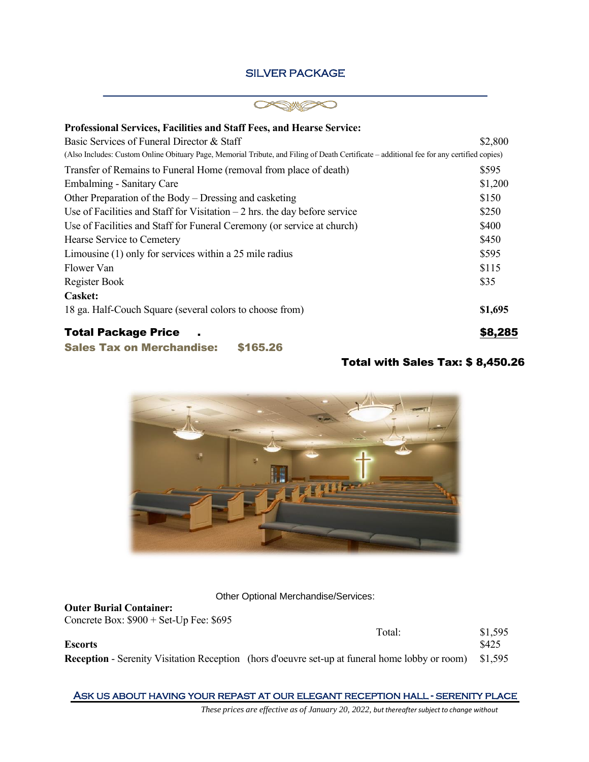## SILVER PACKAGE

#### $\overline{\phantom{a}}$  , and the contribution of the contribution of the contribution of the contribution of the contribution of the contribution of the contribution of the contribution of the contribution of the contribution of the  $\subset$ ∍

| Professional Services, Facilities and Staff Fees, and Hearse Service:                                                                     |         |
|-------------------------------------------------------------------------------------------------------------------------------------------|---------|
| Basic Services of Funeral Director & Staff                                                                                                | \$2,800 |
| (Also Includes: Custom Online Obituary Page, Memorial Tribute, and Filing of Death Certificate - additional fee for any certified copies) |         |
| Transfer of Remains to Funeral Home (removal from place of death)                                                                         | \$595   |
| Embalming - Sanitary Care                                                                                                                 | \$1,200 |
| Other Preparation of the Body – Dressing and casketing                                                                                    | \$150   |
| Use of Facilities and Staff for Visitation $-2$ hrs. the day before service                                                               | \$250   |
| Use of Facilities and Staff for Funeral Ceremony (or service at church)                                                                   | \$400   |
| Hearse Service to Cemetery                                                                                                                | \$450   |
| Limousine $(1)$ only for services within a 25 mile radius                                                                                 | \$595   |
| Flower Van                                                                                                                                | \$115   |
| Register Book                                                                                                                             | \$35    |
| <b>Casket:</b>                                                                                                                            |         |
| 18 ga. Half-Couch Square (several colors to choose from)                                                                                  | \$1,695 |
| <b>Total Package Price</b>                                                                                                                | \$8,285 |
| <b>Sales Tax on Merchandise:</b><br>\$165.26                                                                                              |         |

## Total with Sales Tax: \$ 8,450.26



Other Optional Merchandise/Services:

**Outer Burial Container:**  Concrete Box: \$900 + Set-Up Fee: \$695

|         | Total:                                                                                                        | \$1,595 |
|---------|---------------------------------------------------------------------------------------------------------------|---------|
| Escorts |                                                                                                               | \$425   |
|         | <b>Reception</b> - Serenity Visitation Reception (hors d'oeuvre set-up at funeral home lobby or room) \$1,595 |         |

Ask us about having your repast at our elegant reception hall - serenity place

*These prices are effective as of January 20, 2022, but thereaftersubject to change without*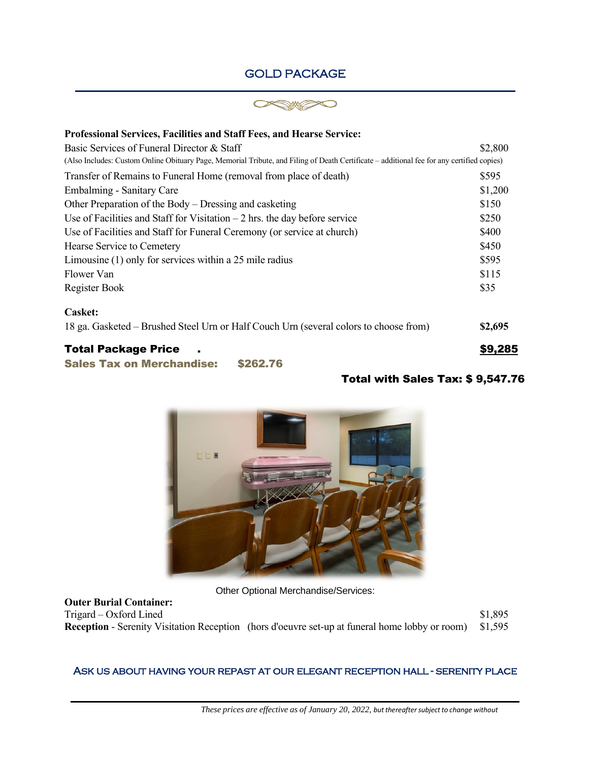## GOLD PACKAGE



 $\mathcal{L}_\text{max}$  and  $\mathcal{L}_\text{max}$  and  $\mathcal{L}_\text{max}$  and  $\mathcal{L}_\text{max}$  and  $\mathcal{L}_\text{max}$  and  $\mathcal{L}_\text{max}$ 

| <b>Professional Services, Facilities and Staff Fees, and Hearse Service:</b>                                                              |         |
|-------------------------------------------------------------------------------------------------------------------------------------------|---------|
| Basic Services of Funeral Director & Staff                                                                                                |         |
| (Also Includes: Custom Online Obituary Page, Memorial Tribute, and Filing of Death Certificate – additional fee for any certified copies) |         |
| Transfer of Remains to Funeral Home (removal from place of death)                                                                         | \$595   |
| Embalming - Sanitary Care                                                                                                                 | \$1,200 |
| Other Preparation of the Body – Dressing and casketing                                                                                    | \$150   |
| Use of Facilities and Staff for Visitation $-2$ hrs. the day before service                                                               | \$250   |
| Use of Facilities and Staff for Funeral Ceremony (or service at church)                                                                   |         |
| Hearse Service to Cemetery                                                                                                                |         |
| Limousine $(1)$ only for services within a 25 mile radius                                                                                 | \$595   |
| Flower Van                                                                                                                                | \$115   |
| Register Book                                                                                                                             | \$35    |
| <b>Casket:</b>                                                                                                                            |         |
| 18 ga. Gasketed – Brushed Steel Urn or Half Couch Urn (several colors to choose from)                                                     | \$2,695 |
| <b>Total Package Price</b>                                                                                                                | \$9,285 |
| <b>Sales Tax on Merchandise:</b><br>\$262.76                                                                                              |         |

## Total with Sales Tax: \$ 9,547.76



Other Optional Merchandise/Services:

**Outer Burial Container:**  Trigard – Oxford Lined  $$1,895$ **Reception** - Serenity Visitation Reception (hors d'oeuvre set-up at funeral home lobby or room) \$1,595